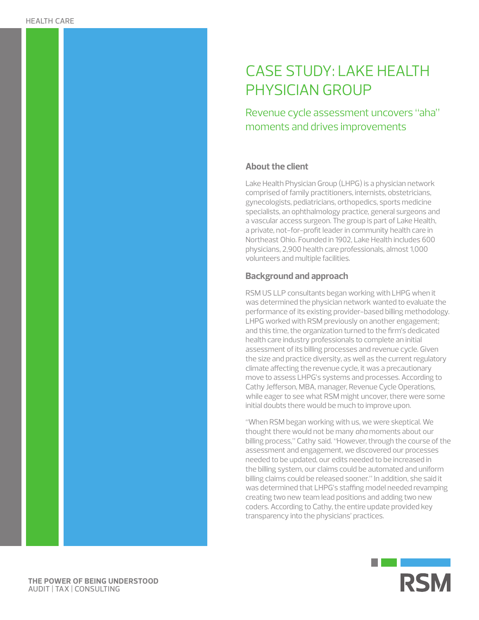# CASE STUDY: LAKE HEALTH PHYSICIAN GROUP

Revenue cycle assessment uncovers "aha" moments and drives improvements

### **About the client**

Lake Health Physician Group (LHPG) is a physician network comprised of family practitioners, internists, obstetricians, gynecologists, pediatricians, orthopedics, sports medicine specialists, an ophthalmology practice, general surgeons and a vascular access surgeon. The group is part of Lake Health, a private, not-for-profit leader in community health care in Northeast Ohio. Founded in 1902, Lake Health includes 600 physicians, 2,900 health care professionals, almost 1,000 volunteers and multiple facilities.

## **Background and approach**

RSM US LLP consultants began working with LHPG when it was determined the physician network wanted to evaluate the performance of its existing provider-based billing methodology. LHPG worked with RSM previously on another engagement; and this time, the organization turned to the firm's dedicated health care industry professionals to complete an initial assessment of its billing processes and revenue cycle. Given the size and practice diversity, as well as the current regulatory climate affecting the revenue cycle, it was a precautionary move to assess LHPG's systems and processes. According to Cathy Jefferson, MBA, manager, Revenue Cycle Operations, while eager to see what RSM might uncover, there were some initial doubts there would be much to improve upon.

"When RSM began working with us, we were skeptical. We thought there would not be many *aha* moments about our billing process," Cathy said. "However, through the course of the assessment and engagement, we discovered our processes needed to be updated, our edits needed to be increased in the billing system, our claims could be automated and uniform billing claims could be released sooner." In addition, she said it was determined that LHPG's staffing model needed revamping creating two new team lead positions and adding two new coders. According to Cathy, the entire update provided key transparency into the physicians' practices.